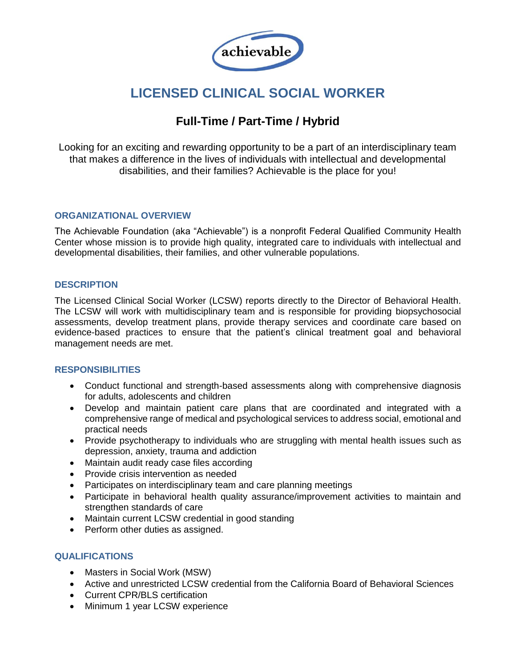

# **LICENSED CLINICAL SOCIAL WORKER**

# **Full-Time / Part-Time / Hybrid**

Looking for an exciting and rewarding opportunity to be a part of an interdisciplinary team that makes a difference in the lives of individuals with intellectual and developmental disabilities, and their families? Achievable is the place for you!

## **ORGANIZATIONAL OVERVIEW**

The Achievable Foundation (aka "Achievable") is a nonprofit Federal Qualified Community Health Center whose mission is to provide high quality, integrated care to individuals with intellectual and developmental disabilities, their families, and other vulnerable populations.

# **DESCRIPTION**

The Licensed Clinical Social Worker (LCSW) reports directly to the Director of Behavioral Health. The LCSW will work with multidisciplinary team and is responsible for providing biopsychosocial assessments, develop treatment plans, provide therapy services and coordinate care based on evidence-based practices to ensure that the patient's clinical treatment goal and behavioral management needs are met.

## **RESPONSIBILITIES**

- Conduct functional and strength-based assessments along with comprehensive diagnosis for adults, adolescents and children
- Develop and maintain patient care plans that are coordinated and integrated with a comprehensive range of medical and psychological services to address social, emotional and practical needs
- Provide psychotherapy to individuals who are struggling with mental health issues such as depression, anxiety, trauma and addiction
- Maintain audit ready case files according
- Provide crisis intervention as needed
- Participates on interdisciplinary team and care planning meetings
- Participate in behavioral health quality assurance/improvement activities to maintain and strengthen standards of care
- Maintain current LCSW credential in good standing
- Perform other duties as assigned.

## **QUALIFICATIONS**

- Masters in Social Work (MSW)
- Active and unrestricted LCSW credential from the California Board of Behavioral Sciences
- Current CPR/BLS certification
- Minimum 1 year LCSW experience